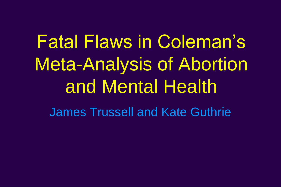Fatal Flaws in Coleman's Meta-Analysis of Abortion and Mental Health

James Trussell and Kate Guthrie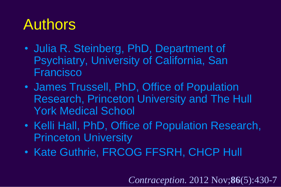# Authors

- Julia R. Steinberg, PhD, Department of Psychiatry, University of California, San Francisco
- James Trussell, PhD, Office of Population Research, Princeton University and The Hull York Medical School
- Kelli Hall, PhD, Office of Population Research, Princeton University
- Kate Guthrie, FRCOG FFSRH, CHCP Hull

*Contraception.* 2012 Nov;**86**(5):430-7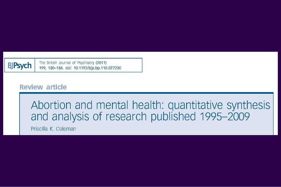The British Journal of Psychiatry (2011) **BJPsych** 199, 180-186. doi: 10.1192/bjp.bp.110.077230

#### **Review article**

#### Abortion and mental health: quantitative synthesis and analysis of research published 1995-2009

Priscilla K. Coleman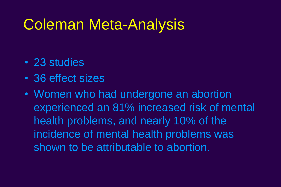#### Coleman Meta-Analysis

- 23 studies
- 36 effect sizes
- Women who had undergone an abortion experienced an 81% increased risk of mental health problems, and nearly 10% of the incidence of mental health problems was shown to be attributable to abortion.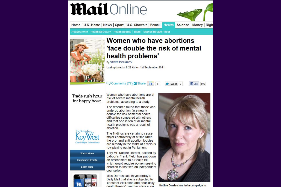

death threate' over her stance on

Nadine Dorries has led a campaign to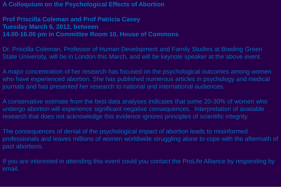**A Colloquium on the Psychological Effects of Abortion**

**Prof Priscilla Coleman and Prof Patricia Casey Tuesday March 6, 2012, between 14.00-16.00 pm in Committee Room 10, House of Commons**

Dr. Priscilla Coleman, Professor of Human Development and Family Studies at Bowling Green State University, will be in London this March, and will be keynote speaker at the above event.

A major concentration of her research has focused on the psychological outcomes among women who have experienced abortion. She has published numerous articles in psychology and medical journals and has presented her research to national and international audiences.

A conservative estimate from the best data analyses indicates that some 20-30% of women who undergo abortion will experience significant negative consequences. Interpretation of available research that does not acknowledge this evidence ignores principles of scientific integrity.

The consequences of denial of the psychological impact of abortion leads to misinformed professionals and leaves millions of women worldwide struggling alone to cope with the aftermath of past abortions.

If you are interested in attending this event could you contact the ProLife Alliance by responding by email.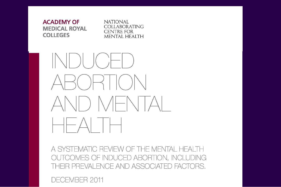

A SYSTEMATIC REVIEW OF THE MENTAL HEALTH OUTCOMES OF INDUCED ABORTION, INCLUDING THEIR PREVALENCE AND ASSOCIATED FACTORS.

DECEMBER 2011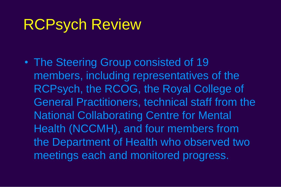#### RCPsych Review

• The Steering Group consisted of 19 members, including representatives of the RCPsych, the RCOG, the Royal College of General Practitioners, technical staff from the National Collaborating Centre for Mental Health (NCCMH), and four members from the Department of Health who observed two meetings each and monitored progress.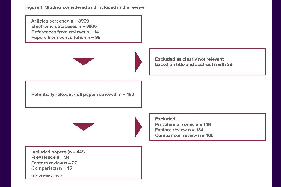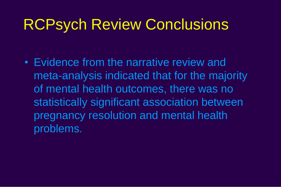#### RCPsych Review Conclusions

• Evidence from the narrative review and meta-analysis indicated that for the majority of mental health outcomes, there was no statistically significant association between pregnancy resolution and mental health problems.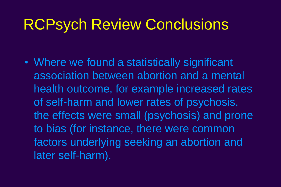#### RCPsych Review Conclusions

• Where we found a statistically significant association between abortion and a mental health outcome, for example increased rates of self-harm and lower rates of psychosis, the effects were small (psychosis) and prone to bias (for instance, there were common factors underlying seeking an abortion and later self-harm).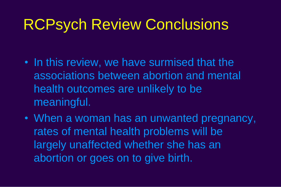### RCPsych Review Conclusions

- In this review, we have surmised that the associations between abortion and mental health outcomes are unlikely to be meaningful.
- When a woman has an unwanted pregnancy, rates of mental health problems will be largely unaffected whether she has an abortion or goes on to give birth.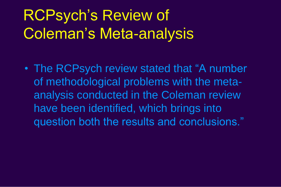# RCPsych's Review of Coleman's Meta-analysis

• The RCPsych review stated that "A number of methodological problems with the metaanalysis conducted in the Coleman review have been identified, which brings into question both the results and conclusions."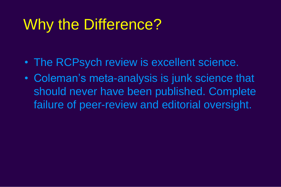# Why the Difference?

- The RCPsych review is excellent science.
- Coleman's meta-analysis is junk science that should never have been published. Complete failure of peer-review and editorial oversight.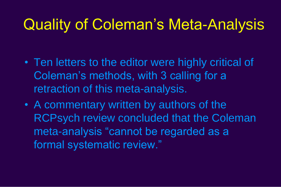# Quality of Coleman's Meta-Analysis

- Ten letters to the editor were highly critical of Coleman's methods, with 3 calling for a retraction of this meta-analysis.
- A commentary written by authors of the RCPsych review concluded that the Coleman meta-analysis "cannot be regarded as a formal systematic review."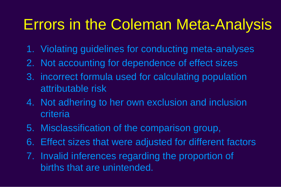# Errors in the Coleman Meta-Analysis

- 1. Violating guidelines for conducting meta-analyses
- 2. Not accounting for dependence of effect sizes
- 3. incorrect formula used for calculating population attributable risk
- 4. Not adhering to her own exclusion and inclusion criteria
- 5. Misclassification of the comparison group,
- 6. Effect sizes that were adjusted for different factors
- 7. Invalid inferences regarding the proportion of births that are unintended.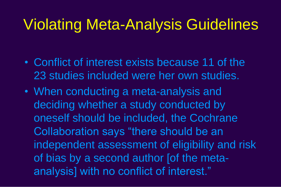## Violating Meta-Analysis Guidelines

- Conflict of interest exists because 11 of the 23 studies included were her own studies.
- When conducting a meta-analysis and deciding whether a study conducted by oneself should be included, the Cochrane Collaboration says "there should be an independent assessment of eligibility and risk of bias by a second author [of the metaanalysis] with no conflict of interest."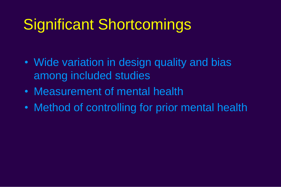# Significant Shortcomings

- Wide variation in design quality and bias among included studies
- Measurement of mental health
- Method of controlling for prior mental health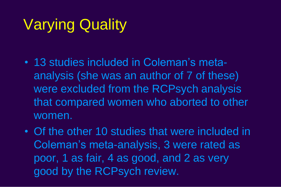# Varying Quality

- 13 studies included in Coleman's metaanalysis (she was an author of 7 of these) were excluded from the RCPsych analysis that compared women who aborted to other women.
- Of the other 10 studies that were included in Coleman's meta-analysis, 3 were rated as poor, 1 as fair, 4 as good, and 2 as very good by the RCPsych review.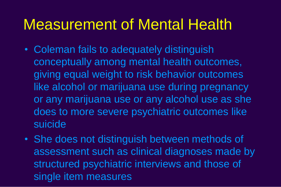#### Measurement of Mental Health

- Coleman fails to adequately distinguish conceptually among mental health outcomes, giving equal weight to risk behavior outcomes like alcohol or marijuana use during pregnancy or any marijuana use or any alcohol use as she does to more severe psychiatric outcomes like suicide
- She does not distinguish between methods of assessment such as clinical diagnoses made by structured psychiatric interviews and those of single item measures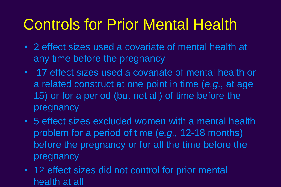# Controls for Prior Mental Health

- 2 effect sizes used a covariate of mental health at any time before the pregnancy
- 17 effect sizes used a covariate of mental health or a related construct at one point in time (*e.g.,* at age 15) or for a period (but not all) of time before the pregnancy
- 5 effect sizes excluded women with a mental health problem for a period of time (*e.g.,* 12-18 months) before the pregnancy or for all the time before the pregnancy
- 12 effect sizes did not control for prior mental health at all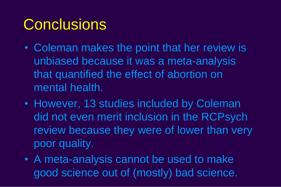## **Conclusions**

- Coleman makes the point that her review is unbiased because it was a meta-analysis that quantified the effect of abortion on mental health.
- However, 13 studies included by Coleman did not even merit inclusion in the RCPsych review because they were of lower than very poor quality.
- A meta-analysis cannot be used to make good science out of (mostly) bad science.